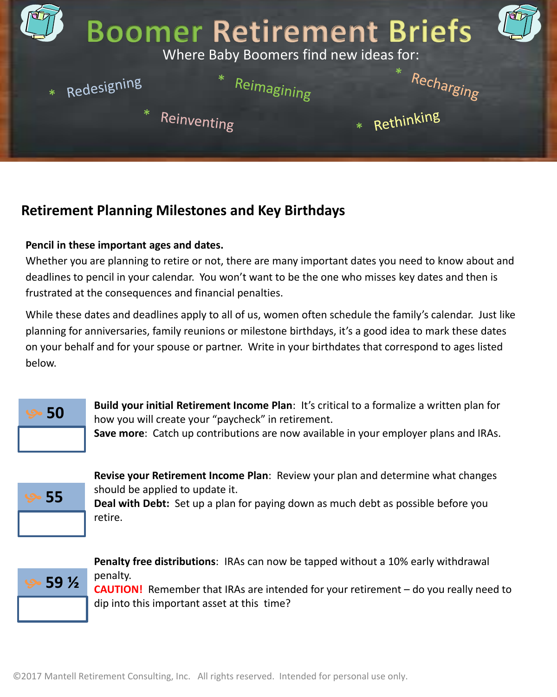

## **Retirement Planning Milestones and Key Birthdays**

## **Pencil in these important ages and dates.**

Whether you are planning to retire or not, there are many important dates you need to know about and deadlines to pencil in your calendar. You won't want to be the one who misses key dates and then is frustrated at the consequences and financial penalties.

While these dates and deadlines apply to all of us, women often schedule the family's calendar. Just like planning for anniversaries, family reunions or milestone birthdays, it's a good idea to mark these dates on your behalf and for your spouse or partner. Write in your birthdates that correspond to ages listed below.



**50 Build your initial Retirement Income Plan**: It's critical to a formalize a written plan for **50** how you will create your "paycheck" in retirement.

**Save more**: Catch up contributions are now available in your employer plans and IRAs.



**Revise your Retirement Income Plan**: Review your plan and determine what changes should be applied to update it. **Deal with Debt:** Set up a plan for paying down as much debt as possible before you

retire.



**Penalty free distributions**: IRAs can now be tapped without a 10% early withdrawal penalty.

**CAUTION!** Remember that IRAs are intended for your retirement – do you really need to dip into this important asset at this time?